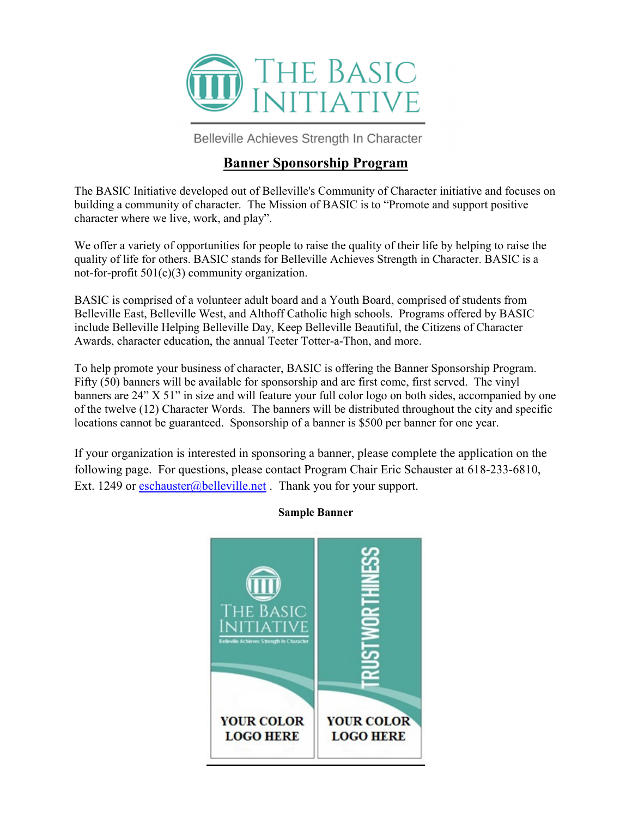

Belleville Achieves Strength In Character

## **Banner Sponsorship Program**

The BASIC Initiative developed out of Belleville's Community of Character initiative and focuses on building a community of character. The Mission of BASIC is to "Promote and support positive character where we live, work, and play".

We offer a variety of opportunities for people to raise the quality of their life by helping to raise the quality of life for others. BASIC stands for Belleville Achieves Strength in Character. BASIC is a not-for-profit 501(c)(3) community organization.

BASIC is comprised of a volunteer adult board and a Youth Board, comprised of students from Belleville East, Belleville West, and Althoff Catholic high schools. Programs offered by BASIC include Belleville Helping Belleville Day, Keep Belleville Beautiful, the Citizens of Character Awards, character education, the annual Teeter Totter-a-Thon, and more.

To help promote your business of character, BASIC is offering the Banner Sponsorship Program. Fifty (50) banners will be available for sponsorship and are first come, first served. The vinyl banners are 24" X 51" in size and will feature your full color logo on both sides, accompanied by one of the twelve (12) Character Words. The banners will be distributed throughout the city and specific locations cannot be guaranteed. Sponsorship of a banner is \$500 per banner for one year.

If your organization is interested in sponsoring a banner, please complete the application on the following page. For questions, please contact Program Chair Eric Schauster at 618-233-6810, Ext. 1249 or  $\operatorname{eschauster}(\widehat{a}$ belleville.net. Thank you for your support.



## **Sample Banner**